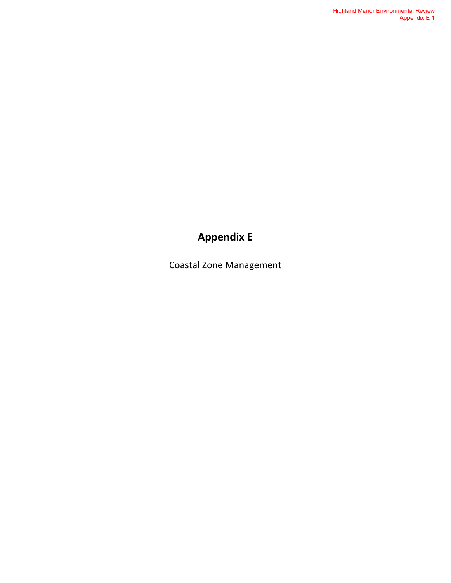# **Appendix E**

Coastal Zone Management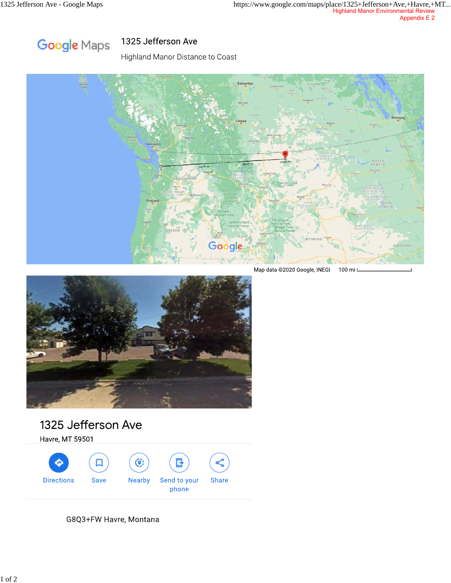

# 1325 Jefferson Ave

Highland Manor Distance to Coast



Map data @2020 Google, INEGI 100 mi l



# 1325 Jefferson Ave

Havre, MT 59501



G8Q3+FW Havre, Montana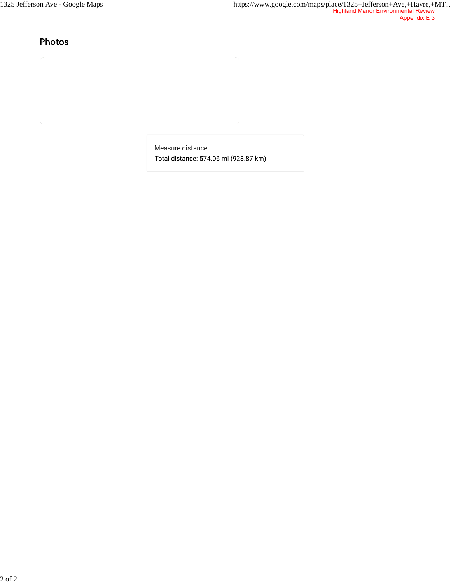Photos

Measure distance Total distance: 574.06 mi (923.87 km)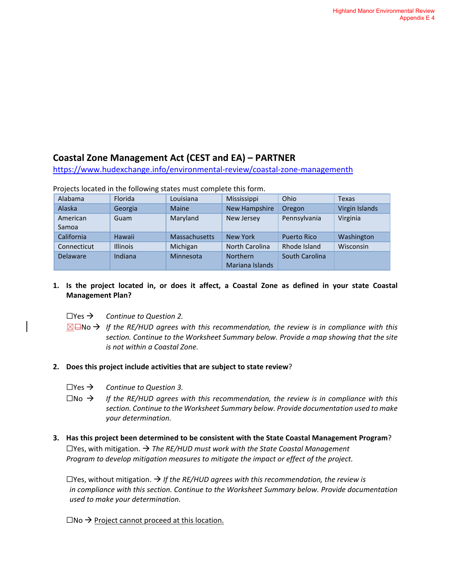## **Coastal Zone Management Act (CEST and EA) – PARTNER**

[https://www.hudexchange.info/environmental-review/coastal-zone-managementh](https://www.hudexchange.info/environmental-review/coastal-zone-management)

| Alabama           | Florida         | Louisiana     | Mississippi                        | Ohio               | <b>Texas</b>     |
|-------------------|-----------------|---------------|------------------------------------|--------------------|------------------|
| Alaska            | Georgia         | <b>Maine</b>  | New Hampshire                      | Oregon             | Virgin Islands   |
| American<br>Samoa | Guam            | Maryland      | New Jersey                         | Pennsylvania       | Virginia         |
| California        | Hawaii          | Massachusetts | <b>New York</b>                    | <b>Puerto Rico</b> | Washington       |
| Connecticut       | <b>Illinois</b> | Michigan      | <b>North Carolina</b>              | Rhode Island       | <b>Wisconsin</b> |
| <b>Delaware</b>   | Indiana         | Minnesota     | <b>Northern</b><br>Mariana Islands | South Carolina     |                  |

Projects located in the following states must complete this form.

## **1. Is the project located in, or does it affect, a Coastal Zone as defined in your state Coastal Management Plan?**

- ☐Yes *Continue to Question 2.*
- ☒☐No *If the RE/HUD agrees with this recommendation, the review is in compliance with this section. Continue to the Worksheet Summary below. Provide a map showing that the site is not within a Coastal Zone.*

### **2. Does this project include activities that are subject to state review**?

- ☐Yes *Continue to Question 3.*
- $\square$ No  $\rightarrow$  If the RE/HUD agrees with this recommendation, the review is in compliance with this *section. Continue to the Worksheet Summary below. Provide documentation used to make your determination.*
- **3. Has this project been determined to be consistent with the State Coastal Management Program**?  $\Box$  Yes, with mitigation.  $\rightarrow$  The RE/HUD must work with the State Coastal Management *Program to develop mitigation measures to mitigate the impact or effect of the project.*

 $\Box$  Yes, without mitigation.  $\rightarrow$  If the RE/HUD agrees with this recommendation, the review is *in compliance with this section. Continue to the Worksheet Summary below. Provide documentation used to make your determination.*

 $\square$ No  $\rightarrow$  Project cannot proceed at this location.